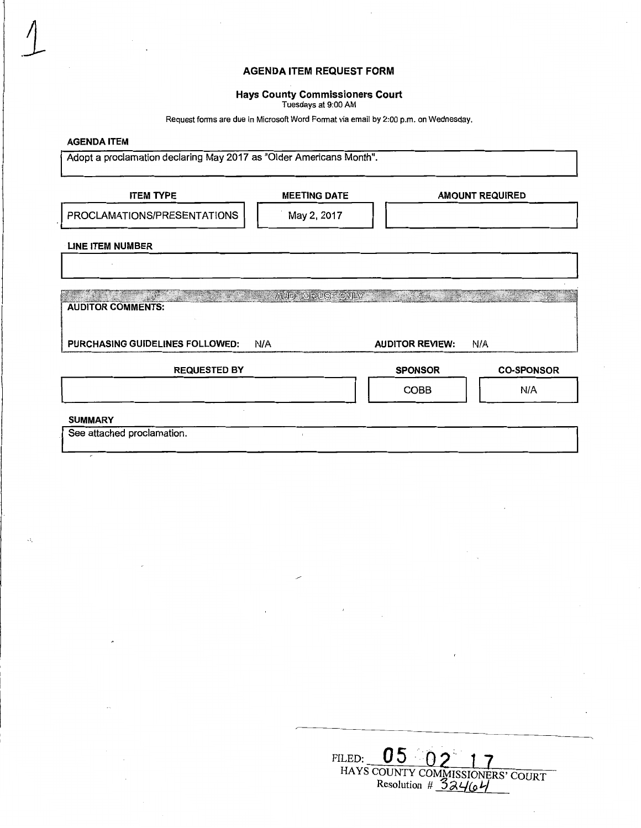# **AGENDA ITEM REQUEST FORM**

## **Hays County Commissioners Court**

Tuesdays at 9:00 AM

Request forms are due in Microsoft Word Format via email by 2:00 p.m. on Wednesday.

## **AGENDA ITEM**

 $\perp$ 

Adopt a proclamation declaring May 2017 as "Older Americans Month".

| <b>ITEM TYPE</b>                | <b>MEETING DATE</b>     |                        | <b>AMOUNT REQUIRED</b> |
|---------------------------------|-------------------------|------------------------|------------------------|
| PROCLAMATIONS/PRESENTATIONS     | May 2, 2017             |                        |                        |
| <b>LINE ITEM NUMBER</b>         |                         |                        |                        |
| <b>AUDITOR COMMENTS:</b>        | <b>AUDITOR USE ONLY</b> |                        |                        |
| PURCHASING GUIDELINES FOLLOWED: | N/A                     | <b>AUDITOR REVIEW:</b> | N/A                    |
| <b>REQUESTED BY</b>             |                         | <b>SPONSOR</b>         | <b>CO-SPONSOR</b>      |
|                                 |                         | <b>COBB</b>            | N/A                    |
| <b>SUMMARY</b>                  |                         |                        |                        |
| See attached proclamation.      |                         |                        |                        |
|                                 |                         |                        |                        |

| FU. |                      |                                  |
|-----|----------------------|----------------------------------|
|     | Resolution # $32464$ | HAYS COUNTY COMMISSIONERS' COURT |